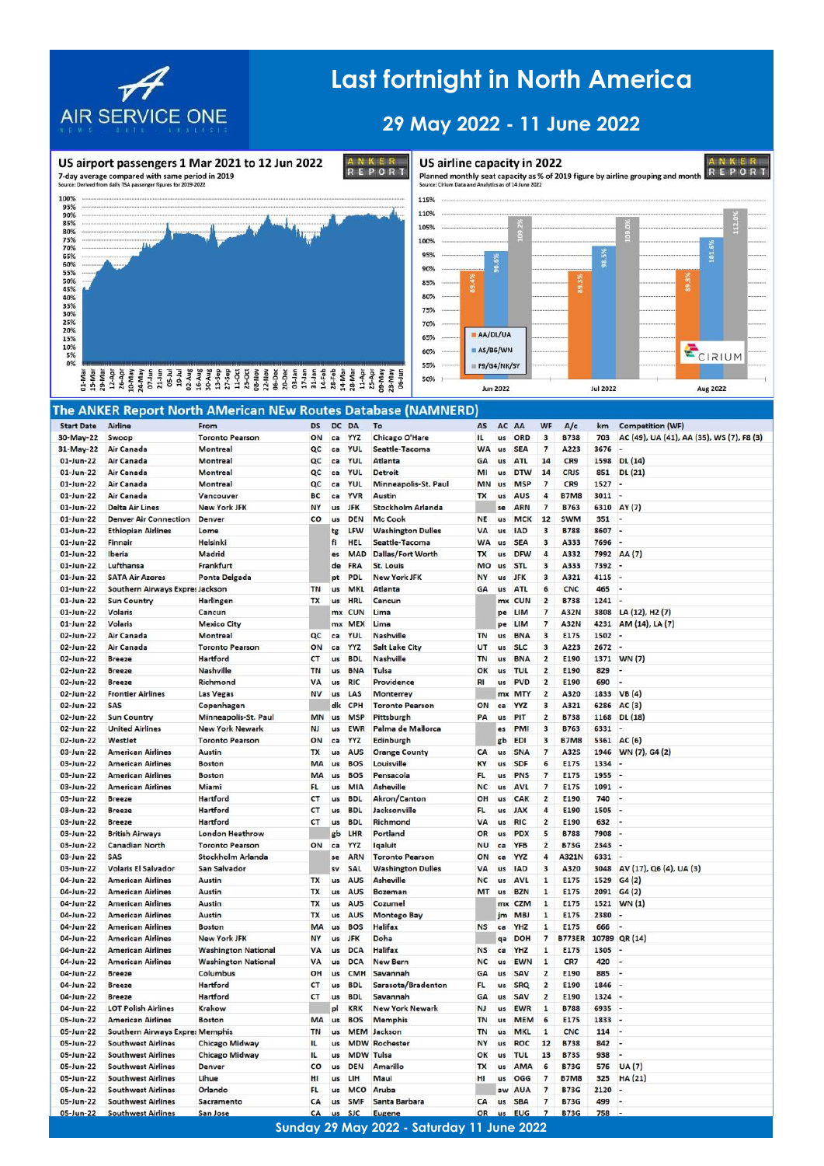

US airport passengers 1 Mar 2021 to 12 Jun 2022

## **Last fortnight in North America**

## **29 May 2022 - 11 June 2022**



ANKER<br>REPORT US airline capacity in 2022 Planned monthly seat capacity as % of 2019 figure by airline grouping and month Source: Cirium Data and Analytics as of 14 June 2022



## a la la de la sua de la de la de la de la de la de la de la de la de la de la de la de la de la de la de la de<br>Estado de la de la de la de la de la de la de la de la de la de la de la de la de la de la de la de la de la<br>Es

|                   |                                        | The ANKER Report North AMerican NEw Routes Database (NAMNERD) |           |            |            |                          |           |            |            |                          |               |       |                                           |
|-------------------|----------------------------------------|---------------------------------------------------------------|-----------|------------|------------|--------------------------|-----------|------------|------------|--------------------------|---------------|-------|-------------------------------------------|
| <b>Start Date</b> | <b>Airline</b>                         | From                                                          | <b>DS</b> | <b>DC</b>  | DA         | To                       | AS        | AC         | AA         | <b>WF</b>                | A/c           | km    | <b>Competition (WF)</b>                   |
| 30-May-22         | Swoop                                  | <b>Toronto Pearson</b>                                        | ON        | ca         | <b>YYZ</b> | <b>Chicago O'Hare</b>    | 11.       | us         | ORD        | 3                        | <b>B738</b>   | 703   | AC (49), UA (41), AA (35), WS (7), F8 (3) |
| 31-May-22         | Air Canada                             | Montreal                                                      | QC        | ca         | <b>YUL</b> | Seattle-Tacoma           | <b>WA</b> | <b>us</b>  | <b>SEA</b> | $\overline{7}$           | A223          | 3676  |                                           |
| $01$ -Jun-22      | Air Canada                             | Montreal                                                      | QC        | ca         | <b>YUL</b> | Atlanta                  | <b>GA</b> | <b>US</b>  | <b>ATL</b> | 14                       | CR9           | 1598  | DL(14)                                    |
| $01$ -Jun-22      | Air Canada                             | Montreal                                                      | QC        | ca         | <b>YUL</b> | <b>Detroit</b>           | MI        | us         | <b>DTW</b> | 14                       | <b>CRJS</b>   | 851   | DL (21)                                   |
| 01-Jun-22         | Air Canada                             | Montreal                                                      | QC        | ca         | <b>YUL</b> | Minneapolis-St. Paul     | <b>MN</b> | us         | <b>MSF</b> | $\overline{\phantom{a}}$ | CR9           | 1527  | ×.                                        |
| 01-Jun-22         | Air Canada                             | Vancouver                                                     | <b>BC</b> | ca         | <b>YVR</b> | <b>Austin</b>            | TX        | us         | AUS        | 4                        | <b>B7M8</b>   | 3011  |                                           |
| 01-Jun-22         | <b>Delta Air Lines</b>                 | <b>New York JFK</b>                                           | NY        | us         | <b>JFK</b> | <b>Stockholm Arlanda</b> |           | se         | <b>ARN</b> | $\overline{\phantom{a}}$ | <b>B763</b>   | 6310  | AY(7)                                     |
| $01$ -Jun-22      | <b>Denver Air Connection</b>           | Denver                                                        | co        | <b>us</b>  | <b>DEN</b> | Mc Cook                  | <b>NE</b> | us         | MCK        | 12                       | <b>SWM</b>    | 351   |                                           |
| 01-Jun-22         | <b>Ethiopian Airlines</b>              | Lome                                                          |           | tg         | LFW        | <b>Washington Dulles</b> | VA        | us         | <b>IAD</b> | 3                        | <b>B788</b>   | 8607  | L.                                        |
| $01$ -Jun-22      | <b>Finnair</b>                         | <b>Helsinki</b>                                               |           | fi         | HEL        | Seattle-Tacoma           | <b>WA</b> | <b>us</b>  | <b>SEA</b> | 3                        | A333          | 7696  |                                           |
| $01$ -Jun-22      | Iberia                                 | Madrid                                                        |           | es         | <b>MAD</b> | <b>Dallas/Fort Worth</b> | <b>TX</b> | us         | <b>DFW</b> | 4                        | A332          | 7992  | AA (7)                                    |
| $01$ -Jun-22      | Lufthansa                              | Frankfurt                                                     |           | de         | FRA        | <b>St. Louis</b>         | MO        | us         | STL        | 3                        | A333          | 7392  |                                           |
| 01-Jun-22         | <b>SATA Air Azores</b>                 | <b>Ponta Delgada</b>                                          |           | pt         | <b>PDL</b> | <b>New York JFK</b>      | <b>NY</b> | us         | <b>JFK</b> | 3                        | A321          | 4115  |                                           |
| $01$ -Jun-22      | Southern Airways Expres Jackson        |                                                               | TN        | us         | <b>MKL</b> | Atlanta                  | GA        | us         | <b>ATI</b> | 6                        | <b>CNC</b>    | 465   | i.                                        |
| $01$ -Jun-22      | <b>Sun Country</b>                     | <b>Harlingen</b>                                              | TX        | us         | <b>HRL</b> | Cancun                   |           | mx         | <b>CUN</b> | $\overline{\mathbf{2}}$  | <b>B738</b>   | 1241  |                                           |
| $01$ -Jun-22      | Volaris                                | Cancun                                                        |           | mx         | <b>CUN</b> | Lima                     |           | pe         | LIM        | 7                        | <b>A32N</b>   | 3808  | LA (12), H <sub>2</sub> (7)               |
| 01-Jun-22         | <b>Volaris</b>                         | <b>Mexico City</b>                                            |           | mx         | <b>MEX</b> | Lima                     |           | be         | LIM        | 7                        | <b>A32N</b>   | 4231  | AM (14), LA (7)                           |
| 02-Jun-22         | Air Canada                             | <b>Montreal</b>                                               | QC        | ca         | YUL        | Nashville                | <b>TN</b> | us         | <b>BNA</b> | 3                        | E175          | 1502  |                                           |
| 02-Jun-22         | Air Canada                             | <b>Toronto Pearson</b>                                        | ON        | ca         | <b>YYZ</b> | <b>Salt Lake City</b>    | UT        | us         | <b>SLC</b> | 3                        | A223          | 2672  | ı.                                        |
| 02-Jun-22         | <b>Breeze</b>                          | Hartford                                                      | CT        | us         | <b>BDL</b> | Nashville                | <b>TN</b> | us         | <b>BNA</b> | 2                        | E190          | 1371  | WN (7)                                    |
| 02-Jun-22         | <b>Breeze</b>                          | Nashville                                                     | <b>TN</b> | us         | <b>BNA</b> | Tulsa                    | OK        | us         | TUL        | 2                        | E190          | 829   |                                           |
| 02-Jun-22         | <b>Breeze</b>                          | Richmond                                                      | VA        | <b>US</b>  | <b>RIC</b> | Providence               | <b>RI</b> | <b>LIS</b> | <b>PVD</b> | $\overline{\mathbf{2}}$  | E190          | 690   |                                           |
| 02-Jun-22         | <b>Frontier Airlines</b>               | <b>Las Vegas</b>                                              | <b>NV</b> | us         | LAS        | Monterrey                |           | mx         | <b>MTY</b> | 2                        | A320          | 1833  | VB(4)                                     |
| 02-Jun-22         | SAS                                    | Copenhagen                                                    |           | dk         | CPH        | <b>Toronto Pearson</b>   | ON        | ca         | ΥZ         | 3                        | A321          | 6286  | AC(3)                                     |
| 02-Jun-22         | <b>Sun Country</b>                     | Minneapolis-St. Paul                                          | <b>MN</b> |            | <b>MSP</b> | Pittsburgh               | PA        | us         |            | 2                        | <b>B738</b>   | 1168  | DL (18)                                   |
| 02-Jun-22         | <b>United Airlines</b>                 | <b>New York Newark</b>                                        | <b>NJ</b> | us         | <b>EWR</b> | Palma de Mallorca        |           | es         | <b>PM</b>  | 3                        | <b>B763</b>   | 6331  |                                           |
| 02-Jun-22         | Westlet                                | <b>Toronto Pearson</b>                                        | ON        | ca         | <b>YYZ</b> | Edinburgh                |           | gb         | <b>EDI</b> | 3                        | <b>B7M8</b>   | 5361  | AC(6)                                     |
| 03-Jun-22         | <b>American Airlines</b>               | Austin                                                        | <b>TX</b> | us         | <b>AUS</b> | <b>Orange County</b>     | CA        | <b>us</b>  | <b>SNA</b> | $\overline{7}$           | A32S          | 1946  | WN (7), G4 (2)                            |
| 03-Jun-22         | <b>American Airlines</b>               | <b>Boston</b>                                                 | MA        | <b>US</b>  | <b>BOS</b> | Louisville               | KY        | us         | <b>SDF</b> | 6                        | E175          | 1334  |                                           |
| 03-Jun-22         | <b>American Airlines</b>               | <b>Boston</b>                                                 | MA        | <b>us</b>  | <b>BOS</b> | Pensacola                | FL        | us         | <b>PNS</b> | 7                        | <b>E175</b>   | 1955  |                                           |
| 03-Jun-22         | <b>American Airlines</b>               | Miami                                                         | FL        | us         | MIA        | <b>Asheville</b>         | <b>NC</b> | us         | AVI        | 7                        | E175          | 1091  |                                           |
| 03-Jun-22         | <b>Breeze</b>                          | Hartford                                                      | CT        | us         | <b>BDL</b> | Akron/Canton             | OH        | us         | CAK        | 2                        | E190          | 740   |                                           |
| 03-Jun-22         | <b>Breeze</b>                          | Hartford                                                      | CT        | us         | <b>BDL</b> | Jacksonville             | <b>FL</b> | us         | <b>JAX</b> | 4                        | E190          | 1505  | ۰.                                        |
| 03-Jun-22         | <b>Breeze</b>                          | Hartford                                                      | CT        | <b>US</b>  | <b>BDL</b> | Richmond                 | VA        | <b>LIS</b> | <b>RIC</b> | $\overline{\mathbf{2}}$  | E190          | 632   |                                           |
| 03-Jun-22         | <b>British Airways</b>                 | <b>London Heathrow</b>                                        |           | gb         | LHR        | Portland                 | OR        | us         | PDX        | 5                        | <b>B788</b>   | 7908  |                                           |
| 03-Jun-22         | <b>Canadian North</b>                  | <b>Toronto Pearson</b>                                        | ON        | ca         | YYZ        | lgaluit                  | <b>NU</b> | ca         | <b>YFB</b> | 2                        | <b>B73G</b>   | 2343  |                                           |
| 03-Jun-22         | SAS                                    | <b>Stockholm Arlanda</b>                                      |           | se         | ARN        | <b>Toronto Pearson</b>   | ON        | ca         | YYZ        | 4                        | A321N         | 6331  | $\overline{\phantom{a}}$                  |
| 03-Jun-22         | <b>Volaris El Salvador</b>             | San Salvador                                                  |           |            | SAL        | <b>Washington Dulles</b> | VA        | us         | IAD        | 3                        | A320          | 3048  | AV (17), Q6 (4), UA (3)                   |
| 04-Jun-22         | <b>American Airlines</b>               | Austin                                                        | TX        | us         | AUS        | Asheville                | <b>NC</b> | <b>us</b>  | <b>AVI</b> | 1                        | E175          | 1529  | G4(2)                                     |
| 04-Jun-22         | <b>American Airlines</b>               | Austin                                                        | TX        | <b>us</b>  | <b>AUS</b> | <b>Bozeman</b>           | MT        | us         | <b>BZN</b> | 1                        | E175          | 2091  | G4(2)                                     |
| 04-Jun-22         | <b>American Airlines</b>               | Austin                                                        | <b>TX</b> | <b>US</b>  | <b>AUS</b> | Cozumel                  |           | mx         | <b>CZM</b> | $\mathbf{1}$             | E175          | 1521  | WN(1)                                     |
| 04-Jun-22         | <b>American Airlines</b>               | Austin                                                        | <b>TX</b> | <b>us</b>  | AUS        | <b>Montego Bay</b>       |           | im         | <b>MBJ</b> | $\mathbf{1}$             | E175          | 2380  |                                           |
| 04-Jun-22         | <b>American Airlines</b>               | <b>Boston</b>                                                 | MA        | <b>LIS</b> | <b>BOS</b> | <b>Halifax</b>           | <b>NS</b> | ca         | <b>HZ</b>  | 1                        | E175          | 666   |                                           |
| 04-Jun-22         | <b>American Airlines</b>               | <b>New York JFK</b>                                           | NY        | us         | <b>JFK</b> | Doha                     |           | qa         | <b>DOH</b> | 7                        | <b>B773ER</b> | 10789 | QR (14)                                   |
| 04-Jun-22         | <b>American Airlines</b>               | <b>Washington National</b>                                    | VA        | us         | <b>DCA</b> | <b>Halifax</b>           | <b>NS</b> | ca         | YHZ        | 1                        | E175          | 1305  |                                           |
| 04-Jun-22         | <b>American Airlines</b>               | <b>Washington National</b>                                    | VA        | us         | DCA        | <b>New Bern</b>          | <b>NC</b> | us         | <b>FWN</b> | $\mathbf{1}$             | CR7           | 420   |                                           |
| 04-Jun-22         | <b>Breeze</b>                          | Columbus                                                      | OH        | <b>us</b>  | <b>CMH</b> | Savannah                 | GA        | us         | <b>SAV</b> | $\overline{2}$           | E190          | 885   |                                           |
| 04-Jun-22         | <b>Breeze</b>                          | Hartford                                                      | CT        | us         | <b>BDL</b> | Sarasota/Bradenton       | <b>FL</b> | us         | SRO        | $\overline{\mathbf{2}}$  | E190          | 1846  |                                           |
| 04-Jun-22         | <b>Breeze</b>                          | Hartford                                                      | CT        | us         | <b>BDL</b> | Savannah                 | GA        | us         | SAV        | $\overline{2}$           | E190          | 1324  |                                           |
| 04-Jun-22         | <b>LOT Polish Airlines</b>             | Krakow                                                        |           | pl         | <b>KRK</b> | <b>New York Newark</b>   | <b>NJ</b> | us         | <b>EWR</b> | $\mathbf{1}$             | <b>B788</b>   | 6935  |                                           |
| 05-Jun-22         | <b>American Airlines</b>               | <b>Boston</b>                                                 | MA        | us         | <b>BOS</b> | <b>Memphis</b>           | <b>TN</b> | us         | <b>MEM</b> | 6                        | E175          | 1833  | i.                                        |
| 05-Jun-22         | <b>Southern Airways Expres Memphis</b> |                                                               | <b>TN</b> | us         | <b>MEM</b> | Jackson                  | <b>TN</b> | us         | MKL        | 1                        | <b>CNC</b>    | 114   | ×.                                        |
| 05-Jun-22         | <b>Southwest Airlines</b>              | <b>Chicago Midway</b>                                         | IL        | <b>us</b>  | <b>MDW</b> | Rochester                | <b>NY</b> | <b>us</b>  | <b>ROC</b> | 12                       | <b>B738</b>   | 842   |                                           |
| 05-Jun-22         | <b>Southwest Airlines</b>              | <b>Chicago Midway</b>                                         | IL        | <b>US</b>  | <b>MDW</b> | Tulsa                    | OK        | us         | TUL        | 13                       | <b>B73S</b>   | 938   |                                           |
| 05-Jun-22         | <b>Southwest Airlines</b>              | Denver                                                        | co        | <b>us</b>  | <b>DEN</b> | <b>Amarillo</b>          | <b>TX</b> | us         | AMA        | 6                        | <b>B73G</b>   | 576   | UA(7)                                     |
| 05-Jun-22         | <b>Southwest Airlines</b>              | Lihue                                                         | HI        | <b>us</b>  | LIH        | Maui                     | HI        | us         | OGG        | 7                        | <b>B7M8</b>   | 325   | <b>HA(21)</b>                             |
| 05-Jun-22         | <b>Southwest Airlines</b>              | Orlando                                                       | <b>FL</b> | us         | <b>MCO</b> | Aruba                    |           |            | <b>AUA</b> | 7                        | <b>B73G</b>   | 2120  |                                           |
| 05-Jun-22         | <b>Southwest Airlines</b>              | Sacramento                                                    | CA        | us         | <b>SMF</b> | Santa Barbara            | CA        | us         | <b>SBA</b> | 7                        | <b>B73G</b>   | 499   |                                           |
| 05-Jun-22         | <b>Southwest Airlines</b>              | San Jose                                                      | CA        | us         | <b>SJC</b> | <b>Eugene</b>            | OR        | us         | <b>EUG</b> | $\overline{ }$           | <b>B73G</b>   | 758   |                                           |